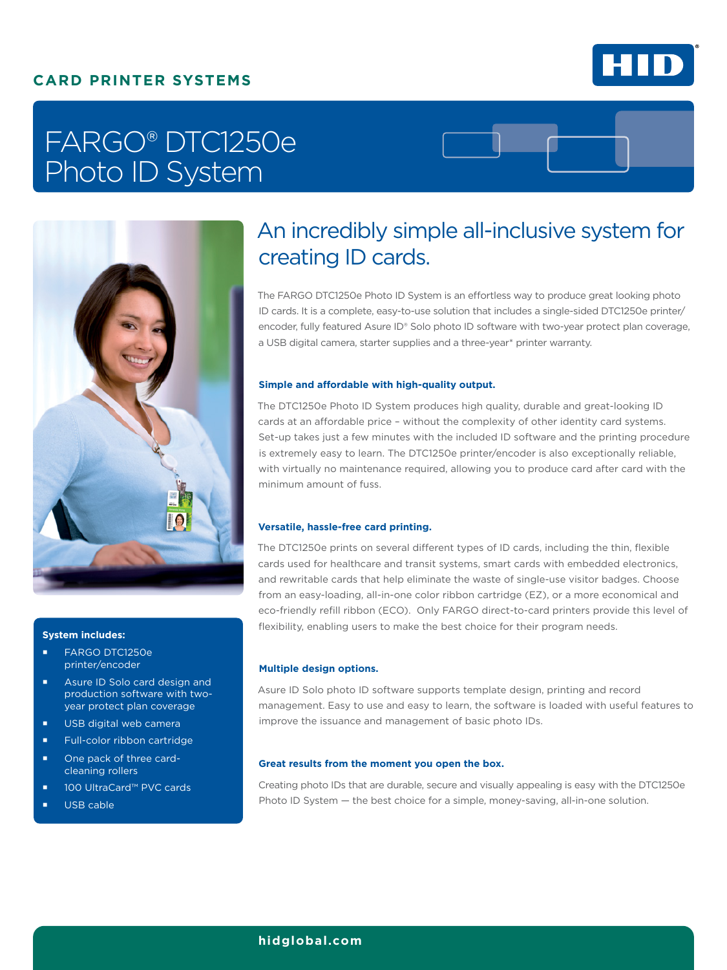### **CARD PRINTER SYSTEMS**



# FARGO® DTC1250e Photo ID System



#### **System includes:**

- FARGO DTC1250e printer/encoder
- **Asure ID Solo card design and** production software with twoyear protect plan coverage
- **USB** digital web camera
- Full-color ribbon cartridge
- One pack of three cardcleaning rollers
- 100 UltraCard™ PVC cards
- USB cable

## An incredibly simple all-inclusive system for creating ID cards.

The FARGO DTC1250e Photo ID System is an effortless way to produce great looking photo ID cards. It is a complete, easy-to-use solution that includes a single-sided DTC1250e printer/ encoder, fully featured Asure ID® Solo photo ID software with two-year protect plan coverage, a USB digital camera, starter supplies and a three-year\* printer warranty.

#### **Simple and affordable with high-quality output.**

The DTC1250e Photo ID System produces high quality, durable and great-looking ID cards at an affordable price – without the complexity of other identity card systems. Set-up takes just a few minutes with the included ID software and the printing procedure is extremely easy to learn. The DTC1250e printer/encoder is also exceptionally reliable, with virtually no maintenance required, allowing you to produce card after card with the minimum amount of fuss.

#### **Versatile, hassle-free card printing.**

The DTC1250e prints on several different types of ID cards, including the thin, flexible cards used for healthcare and transit systems, smart cards with embedded electronics, and rewritable cards that help eliminate the waste of single-use visitor badges. Choose from an easy-loading, all-in-one color ribbon cartridge (EZ), or a more economical and eco-friendly refill ribbon (ECO). Only FARGO direct-to-card printers provide this level of flexibility, enabling users to make the best choice for their program needs.

#### **Multiple design options.**

Asure ID Solo photo ID software supports template design, printing and record management. Easy to use and easy to learn, the software is loaded with useful features to improve the issuance and management of basic photo IDs.

#### **Great results from the moment you open the box.**

Creating photo IDs that are durable, secure and visually appealing is easy with the DTC1250e Photo ID System — the best choice for a simple, money-saving, all-in-one solution.

#### **[hidglobal.com](http://fargo.hidglobal.com)**